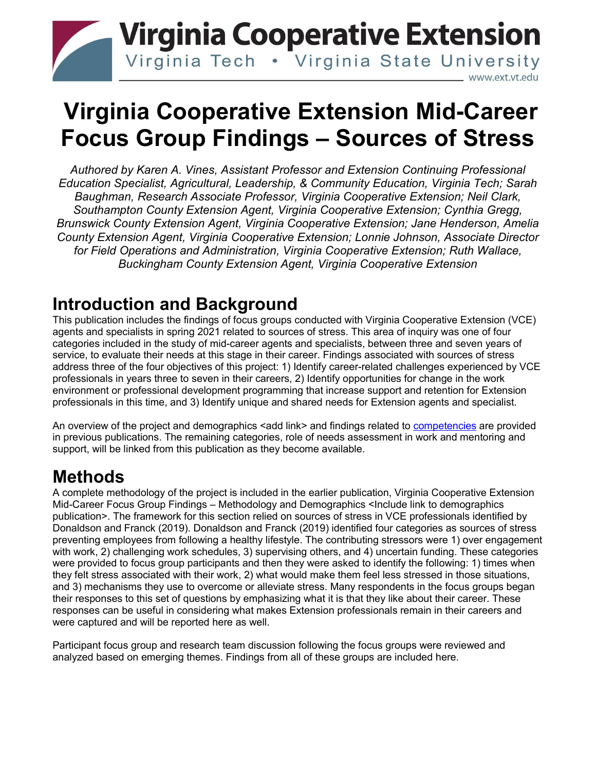# **Virginia Cooperative Extension** Virginia Tech . Virginia State University www.ext.vt.edu

# **Virginia Cooperative Extension Mid-Career Focus Group Findings – Sources of Stress**

*Authored by Karen A. Vines, Assistant Professor and Extension Continuing Professional Education Specialist, Agricultural, Leadership, & Community Education, Virginia Tech; Sarah Baughman, Research Associate Professor, Virginia Cooperative Extension; Neil Clark, Southampton County Extension Agent, Virginia Cooperative Extension; Cynthia Gregg, Brunswick County Extension Agent, Virginia Cooperative Extension; Jane Henderson, Amelia County Extension Agent, Virginia Cooperative Extension; Lonnie Johnson, Associate Director for Field Operations and Administration, Virginia Cooperative Extension; Ruth Wallace, Buckingham County Extension Agent, Virginia Cooperative Extension*

# **Introduction and Background**

This publication includes the findings of focus groups conducted with Virginia Cooperative Extension (VCE) agents and specialists in spring 2021 related to sources of stress. This area of inquiry was one of four categories included in the study of mid-career agents and specialists, between three and seven years of service, to evaluate their needs at this stage in their career. Findings associated with sources of stress address three of the four objectives of this project: 1) Identify career-related challenges experienced by VCE professionals in years three to seven in their careers, 2) Identify opportunities for change in the work environment or professional development programming that increase support and retention for Extension professionals in this time, and 3) Identify unique and shared needs for Extension agents and specialist.

An overview of the project and demographics <add link> and findings related to [competencies](https://www.pubs.ext.vt.edu/ALCE/ALCE-287/ALCE-287.html) are provided in previous publications. The remaining categories, role of needs assessment in work and mentoring and support, will be linked from this publication as they become available.

# **Methods**

A complete methodology of the project is included in the earlier publication, Virginia Cooperative Extension Mid-Career Focus Group Findings – Methodology and Demographics <Include link to demographics publication>. The framework for this section relied on sources of stress in VCE professionals identified by Donaldson and Franck (2019). Donaldson and Franck (2019) identified four categories as sources of stress preventing employees from following a healthy lifestyle. The contributing stressors were 1) over engagement with work, 2) challenging work schedules, 3) supervising others, and 4) uncertain funding. These categories were provided to focus group participants and then they were asked to identify the following: 1) times when they felt stress associated with their work, 2) what would make them feel less stressed in those situations, and 3) mechanisms they use to overcome or alleviate stress. Many respondents in the focus groups began their responses to this set of questions by emphasizing what it is that they like about their career. These responses can be useful in considering what makes Extension professionals remain in their careers and were captured and will be reported here as well.

Participant focus group and research team discussion following the focus groups were reviewed and analyzed based on emerging themes. Findings from all of these groups are included here.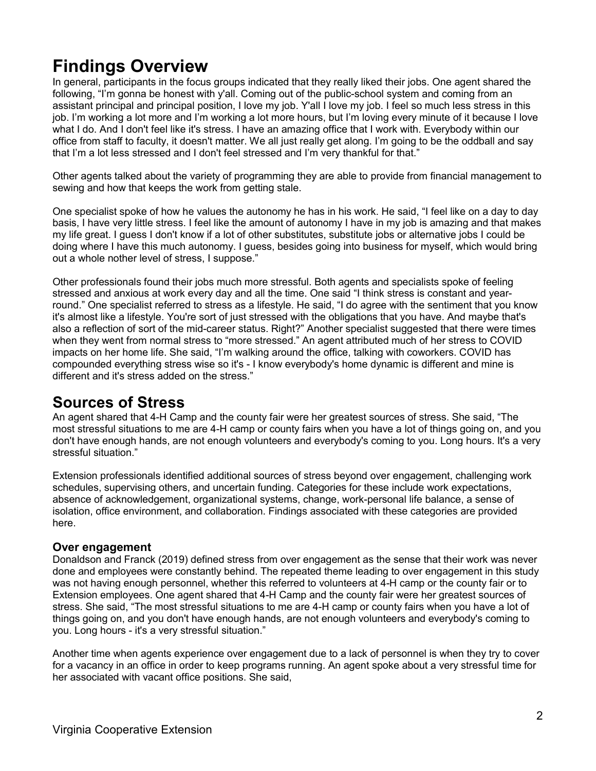# **Findings Overview**

In general, participants in the focus groups indicated that they really liked their jobs. One agent shared the following, "I'm gonna be honest with y'all. Coming out of the public-school system and coming from an assistant principal and principal position, I love my job. Y'all I love my job. I feel so much less stress in this job. I'm working a lot more and I'm working a lot more hours, but I'm loving every minute of it because I love what I do. And I don't feel like it's stress. I have an amazing office that I work with. Everybody within our office from staff to faculty, it doesn't matter. We all just really get along. I'm going to be the oddball and say that I'm a lot less stressed and I don't feel stressed and I'm very thankful for that."

Other agents talked about the variety of programming they are able to provide from financial management to sewing and how that keeps the work from getting stale.

One specialist spoke of how he values the autonomy he has in his work. He said, "I feel like on a day to day basis, I have very little stress. I feel like the amount of autonomy I have in my job is amazing and that makes my life great. I guess I don't know if a lot of other substitutes, substitute jobs or alternative jobs I could be doing where I have this much autonomy. I guess, besides going into business for myself, which would bring out a whole nother level of stress, I suppose."

Other professionals found their jobs much more stressful. Both agents and specialists spoke of feeling stressed and anxious at work every day and all the time. One said "I think stress is constant and yearround." One specialist referred to stress as a lifestyle. He said, "I do agree with the sentiment that you know it's almost like a lifestyle. You're sort of just stressed with the obligations that you have. And maybe that's also a reflection of sort of the mid-career status. Right?" Another specialist suggested that there were times when they went from normal stress to "more stressed." An agent attributed much of her stress to COVID impacts on her home life. She said, "I'm walking around the office, talking with coworkers. COVID has compounded everything stress wise so it's - I know everybody's home dynamic is different and mine is different and it's stress added on the stress."

### **Sources of Stress**

An agent shared that 4-H Camp and the county fair were her greatest sources of stress. She said, "The most stressful situations to me are 4-H camp or county fairs when you have a lot of things going on, and you don't have enough hands, are not enough volunteers and everybody's coming to you. Long hours. It's a very stressful situation."

Extension professionals identified additional sources of stress beyond over engagement, challenging work schedules, supervising others, and uncertain funding. Categories for these include work expectations, absence of acknowledgement, organizational systems, change, work-personal life balance, a sense of isolation, office environment, and collaboration. Findings associated with these categories are provided here.

### **Over engagement**

Donaldson and Franck (2019) defined stress from over engagement as the sense that their work was never done and employees were constantly behind. The repeated theme leading to over engagement in this study was not having enough personnel, whether this referred to volunteers at 4-H camp or the county fair or to Extension employees. One agent shared that 4-H Camp and the county fair were her greatest sources of stress. She said, "The most stressful situations to me are 4-H camp or county fairs when you have a lot of things going on, and you don't have enough hands, are not enough volunteers and everybody's coming to you. Long hours - it's a very stressful situation."

Another time when agents experience over engagement due to a lack of personnel is when they try to cover for a vacancy in an office in order to keep programs running. An agent spoke about a very stressful time for her associated with vacant office positions. She said,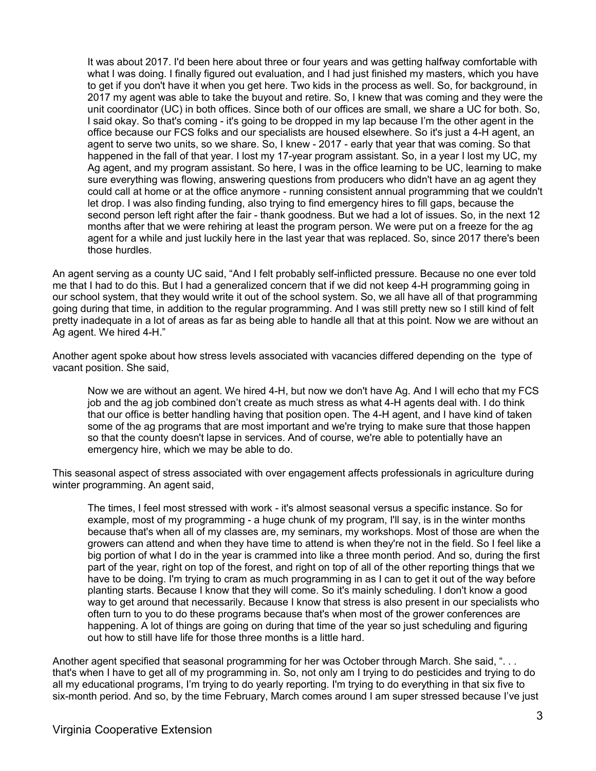It was about 2017. I'd been here about three or four years and was getting halfway comfortable with what I was doing. I finally figured out evaluation, and I had just finished my masters, which you have to get if you don't have it when you get here. Two kids in the process as well. So, for background, in 2017 my agent was able to take the buyout and retire. So, I knew that was coming and they were the unit coordinator (UC) in both offices. Since both of our offices are small, we share a UC for both. So, I said okay. So that's coming - it's going to be dropped in my lap because I'm the other agent in the office because our FCS folks and our specialists are housed elsewhere. So it's just a 4-H agent, an agent to serve two units, so we share. So, I knew - 2017 - early that year that was coming. So that happened in the fall of that year. I lost my 17-year program assistant. So, in a year I lost my UC, my Ag agent, and my program assistant. So here, I was in the office learning to be UC, learning to make sure everything was flowing, answering questions from producers who didn't have an ag agent they could call at home or at the office anymore - running consistent annual programming that we couldn't let drop. I was also finding funding, also trying to find emergency hires to fill gaps, because the second person left right after the fair - thank goodness. But we had a lot of issues. So, in the next 12 months after that we were rehiring at least the program person. We were put on a freeze for the ag agent for a while and just luckily here in the last year that was replaced. So, since 2017 there's been those hurdles.

An agent serving as a county UC said, "And I felt probably self-inflicted pressure. Because no one ever told me that I had to do this. But I had a generalized concern that if we did not keep 4-H programming going in our school system, that they would write it out of the school system. So, we all have all of that programming going during that time, in addition to the regular programming. And I was still pretty new so I still kind of felt pretty inadequate in a lot of areas as far as being able to handle all that at this point. Now we are without an Ag agent. We hired 4-H."

Another agent spoke about how stress levels associated with vacancies differed depending on the type of vacant position. She said,

Now we are without an agent. We hired 4-H, but now we don't have Ag. And I will echo that my FCS job and the ag job combined don't create as much stress as what 4-H agents deal with. I do think that our office is better handling having that position open. The 4-H agent, and I have kind of taken some of the ag programs that are most important and we're trying to make sure that those happen so that the county doesn't lapse in services. And of course, we're able to potentially have an emergency hire, which we may be able to do.

This seasonal aspect of stress associated with over engagement affects professionals in agriculture during winter programming. An agent said,

The times, I feel most stressed with work - it's almost seasonal versus a specific instance. So for example, most of my programming - a huge chunk of my program, I'll say, is in the winter months because that's when all of my classes are, my seminars, my workshops. Most of those are when the growers can attend and when they have time to attend is when they're not in the field. So I feel like a big portion of what I do in the year is crammed into like a three month period. And so, during the first part of the year, right on top of the forest, and right on top of all of the other reporting things that we have to be doing. I'm trying to cram as much programming in as I can to get it out of the way before planting starts. Because I know that they will come. So it's mainly scheduling. I don't know a good way to get around that necessarily. Because I know that stress is also present in our specialists who often turn to you to do these programs because that's when most of the grower conferences are happening. A lot of things are going on during that time of the year so just scheduling and figuring out how to still have life for those three months is a little hard.

Another agent specified that seasonal programming for her was October through March. She said, "... that's when I have to get all of my programming in. So, not only am I trying to do pesticides and trying to do all my educational programs, I'm trying to do yearly reporting. I'm trying to do everything in that six five to six-month period. And so, by the time February, March comes around I am super stressed because I've just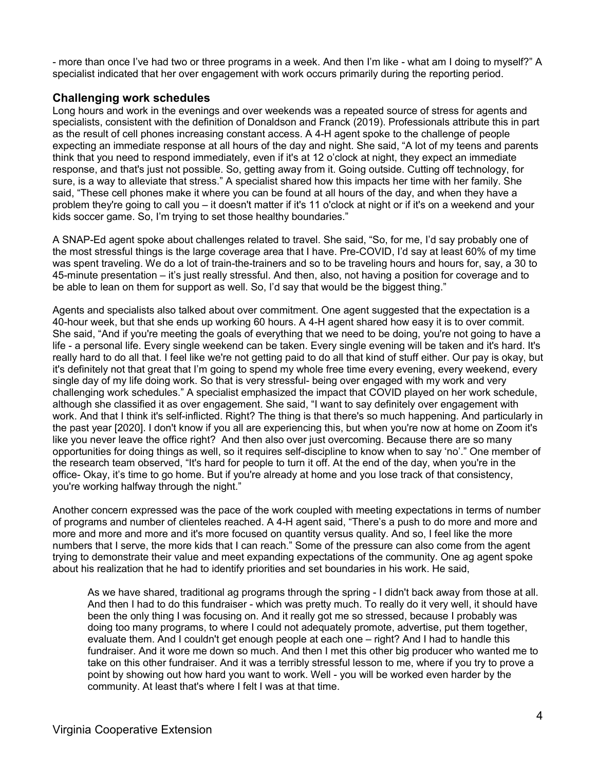- more than once I've had two or three programs in a week. And then I'm like - what am I doing to myself?" A specialist indicated that her over engagement with work occurs primarily during the reporting period.

### **Challenging work schedules**

Long hours and work in the evenings and over weekends was a repeated source of stress for agents and specialists, consistent with the definition of Donaldson and Franck (2019). Professionals attribute this in part as the result of cell phones increasing constant access. A 4-H agent spoke to the challenge of people expecting an immediate response at all hours of the day and night. She said, "A lot of my teens and parents think that you need to respond immediately, even if it's at 12 o'clock at night, they expect an immediate response, and that's just not possible. So, getting away from it. Going outside. Cutting off technology, for sure, is a way to alleviate that stress." A specialist shared how this impacts her time with her family. She said, "These cell phones make it where you can be found at all hours of the day, and when they have a problem they're going to call you – it doesn't matter if it's 11 o'clock at night or if it's on a weekend and your kids soccer game. So, I'm trying to set those healthy boundaries."

A SNAP-Ed agent spoke about challenges related to travel. She said, "So, for me, I'd say probably one of the most stressful things is the large coverage area that I have. Pre-COVID, I'd say at least 60% of my time was spent traveling. We do a lot of train-the-trainers and so to be traveling hours and hours for, say, a 30 to 45-minute presentation – it's just really stressful. And then, also, not having a position for coverage and to be able to lean on them for support as well. So, I'd say that would be the biggest thing."

Agents and specialists also talked about over commitment. One agent suggested that the expectation is a 40-hour week, but that she ends up working 60 hours. A 4-H agent shared how easy it is to over commit. She said, "And if you're meeting the goals of everything that we need to be doing, you're not going to have a life - a personal life. Every single weekend can be taken. Every single evening will be taken and it's hard. It's really hard to do all that. I feel like we're not getting paid to do all that kind of stuff either. Our pay is okay, but it's definitely not that great that I'm going to spend my whole free time every evening, every weekend, every single day of my life doing work. So that is very stressful- being over engaged with my work and very challenging work schedules." A specialist emphasized the impact that COVID played on her work schedule, although she classified it as over engagement. She said, "I want to say definitely over engagement with work. And that I think it's self-inflicted. Right? The thing is that there's so much happening. And particularly in the past year [2020]. I don't know if you all are experiencing this, but when you're now at home on Zoom it's like you never leave the office right? And then also over just overcoming. Because there are so many opportunities for doing things as well, so it requires self-discipline to know when to say 'no'." One member of the research team observed, "It's hard for people to turn it off. At the end of the day, when you're in the office- Okay, it's time to go home. But if you're already at home and you lose track of that consistency, you're working halfway through the night."

Another concern expressed was the pace of the work coupled with meeting expectations in terms of number of programs and number of clienteles reached. A 4-H agent said, "There's a push to do more and more and more and more and more and it's more focused on quantity versus quality. And so, I feel like the more numbers that I serve, the more kids that I can reach." Some of the pressure can also come from the agent trying to demonstrate their value and meet expanding expectations of the community. One ag agent spoke about his realization that he had to identify priorities and set boundaries in his work. He said,

As we have shared, traditional ag programs through the spring - I didn't back away from those at all. And then I had to do this fundraiser - which was pretty much. To really do it very well, it should have been the only thing I was focusing on. And it really got me so stressed, because I probably was doing too many programs, to where I could not adequately promote, advertise, put them together, evaluate them. And I couldn't get enough people at each one – right? And I had to handle this fundraiser. And it wore me down so much. And then I met this other big producer who wanted me to take on this other fundraiser. And it was a terribly stressful lesson to me, where if you try to prove a point by showing out how hard you want to work. Well - you will be worked even harder by the community. At least that's where I felt I was at that time.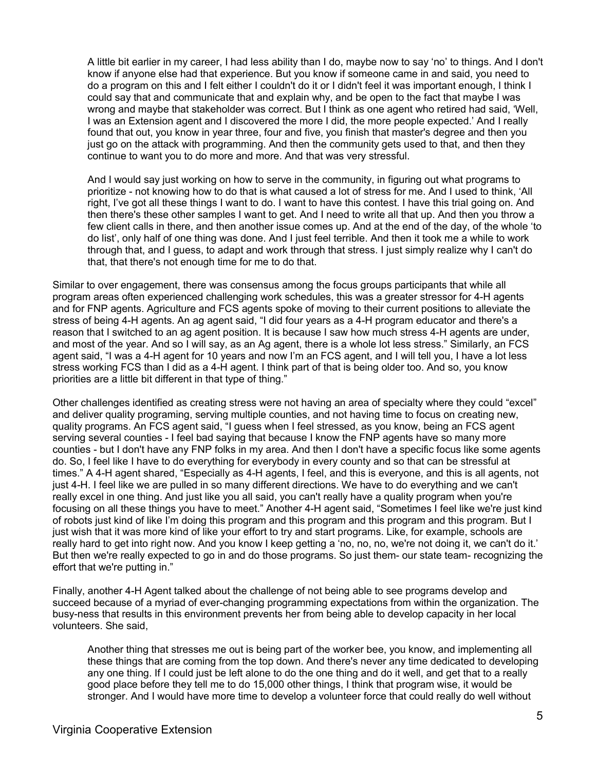A little bit earlier in my career, I had less ability than I do, maybe now to say 'no' to things. And I don't know if anyone else had that experience. But you know if someone came in and said, you need to do a program on this and I felt either I couldn't do it or I didn't feel it was important enough, I think I could say that and communicate that and explain why, and be open to the fact that maybe I was wrong and maybe that stakeholder was correct. But I think as one agent who retired had said, 'Well, I was an Extension agent and I discovered the more I did, the more people expected.' And I really found that out, you know in year three, four and five, you finish that master's degree and then you just go on the attack with programming. And then the community gets used to that, and then they continue to want you to do more and more. And that was very stressful.

And I would say just working on how to serve in the community, in figuring out what programs to prioritize - not knowing how to do that is what caused a lot of stress for me. And I used to think, 'All right, I've got all these things I want to do. I want to have this contest. I have this trial going on. And then there's these other samples I want to get. And I need to write all that up. And then you throw a few client calls in there, and then another issue comes up. And at the end of the day, of the whole 'to do list', only half of one thing was done. And I just feel terrible. And then it took me a while to work through that, and I guess, to adapt and work through that stress. I just simply realize why I can't do that, that there's not enough time for me to do that.

Similar to over engagement, there was consensus among the focus groups participants that while all program areas often experienced challenging work schedules, this was a greater stressor for 4-H agents and for FNP agents. Agriculture and FCS agents spoke of moving to their current positions to alleviate the stress of being 4-H agents. An ag agent said, "I did four years as a 4-H program educator and there's a reason that I switched to an ag agent position. It is because I saw how much stress 4-H agents are under, and most of the year. And so I will say, as an Ag agent, there is a whole lot less stress." Similarly, an FCS agent said, "I was a 4-H agent for 10 years and now I'm an FCS agent, and I will tell you, I have a lot less stress working FCS than I did as a 4-H agent. I think part of that is being older too. And so, you know priorities are a little bit different in that type of thing."

Other challenges identified as creating stress were not having an area of specialty where they could "excel" and deliver quality programing, serving multiple counties, and not having time to focus on creating new, quality programs. An FCS agent said, "I guess when I feel stressed, as you know, being an FCS agent serving several counties - I feel bad saying that because I know the FNP agents have so many more counties - but I don't have any FNP folks in my area. And then I don't have a specific focus like some agents do. So, I feel like I have to do everything for everybody in every county and so that can be stressful at times." A 4-H agent shared, "Especially as 4-H agents, I feel, and this is everyone, and this is all agents, not just 4-H. I feel like we are pulled in so many different directions. We have to do everything and we can't really excel in one thing. And just like you all said, you can't really have a quality program when you're focusing on all these things you have to meet." Another 4-H agent said, "Sometimes I feel like we're just kind of robots just kind of like I'm doing this program and this program and this program and this program. But I just wish that it was more kind of like your effort to try and start programs. Like, for example, schools are really hard to get into right now. And you know I keep getting a 'no, no, no, we're not doing it, we can't do it.' But then we're really expected to go in and do those programs. So just them- our state team- recognizing the effort that we're putting in."

Finally, another 4-H Agent talked about the challenge of not being able to see programs develop and succeed because of a myriad of ever-changing programming expectations from within the organization. The busy-ness that results in this environment prevents her from being able to develop capacity in her local volunteers. She said,

Another thing that stresses me out is being part of the worker bee, you know, and implementing all these things that are coming from the top down. And there's never any time dedicated to developing any one thing. If I could just be left alone to do the one thing and do it well, and get that to a really good place before they tell me to do 15,000 other things, I think that program wise, it would be stronger. And I would have more time to develop a volunteer force that could really do well without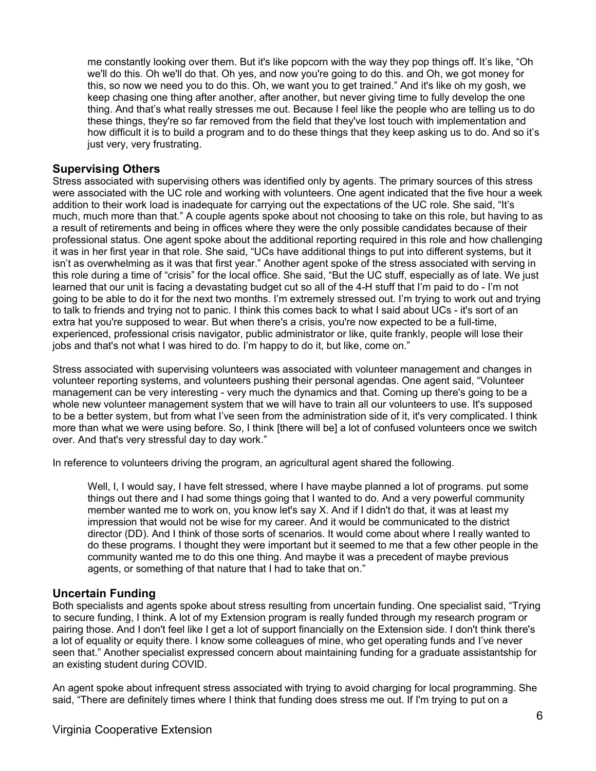me constantly looking over them. But it's like popcorn with the way they pop things off. It's like, "Oh we'll do this. Oh we'll do that. Oh yes, and now you're going to do this. and Oh, we got money for this, so now we need you to do this. Oh, we want you to get trained." And it's like oh my gosh, we keep chasing one thing after another, after another, but never giving time to fully develop the one thing. And that's what really stresses me out. Because I feel like the people who are telling us to do these things, they're so far removed from the field that they've lost touch with implementation and how difficult it is to build a program and to do these things that they keep asking us to do. And so it's just very, very frustrating.

### **Supervising Others**

Stress associated with supervising others was identified only by agents. The primary sources of this stress were associated with the UC role and working with volunteers. One agent indicated that the five hour a week addition to their work load is inadequate for carrying out the expectations of the UC role. She said, "It's much, much more than that." A couple agents spoke about not choosing to take on this role, but having to as a result of retirements and being in offices where they were the only possible candidates because of their professional status. One agent spoke about the additional reporting required in this role and how challenging it was in her first year in that role. She said, "UCs have additional things to put into different systems, but it isn't as overwhelming as it was that first year." Another agent spoke of the stress associated with serving in this role during a time of "crisis" for the local office. She said, "But the UC stuff, especially as of late. We just learned that our unit is facing a devastating budget cut so all of the 4-H stuff that I'm paid to do - I'm not going to be able to do it for the next two months. I'm extremely stressed out. I'm trying to work out and trying to talk to friends and trying not to panic. I think this comes back to what I said about UCs - it's sort of an extra hat you're supposed to wear. But when there's a crisis, you're now expected to be a full-time, experienced, professional crisis navigator, public administrator or like, quite frankly, people will lose their jobs and that's not what I was hired to do. I'm happy to do it, but like, come on."

Stress associated with supervising volunteers was associated with volunteer management and changes in volunteer reporting systems, and volunteers pushing their personal agendas. One agent said, "Volunteer management can be very interesting - very much the dynamics and that. Coming up there's going to be a whole new volunteer management system that we will have to train all our volunteers to use. It's supposed to be a better system, but from what I've seen from the administration side of it, it's very complicated. I think more than what we were using before. So, I think [there will be] a lot of confused volunteers once we switch over. And that's very stressful day to day work."

In reference to volunteers driving the program, an agricultural agent shared the following.

Well, I, I would say, I have felt stressed, where I have maybe planned a lot of programs. put some things out there and I had some things going that I wanted to do. And a very powerful community member wanted me to work on, you know let's say X. And if I didn't do that, it was at least my impression that would not be wise for my career. And it would be communicated to the district director (DD). And I think of those sorts of scenarios. It would come about where I really wanted to do these programs. I thought they were important but it seemed to me that a few other people in the community wanted me to do this one thing. And maybe it was a precedent of maybe previous agents, or something of that nature that I had to take that on."

### **Uncertain Funding**

Both specialists and agents spoke about stress resulting from uncertain funding. One specialist said, "Trying to secure funding, I think. A lot of my Extension program is really funded through my research program or pairing those. And I don't feel like I get a lot of support financially on the Extension side. I don't think there's a lot of equality or equity there. I know some colleagues of mine, who get operating funds and I've never seen that." Another specialist expressed concern about maintaining funding for a graduate assistantship for an existing student during COVID.

An agent spoke about infrequent stress associated with trying to avoid charging for local programming. She said, "There are definitely times where I think that funding does stress me out. If I'm trying to put on a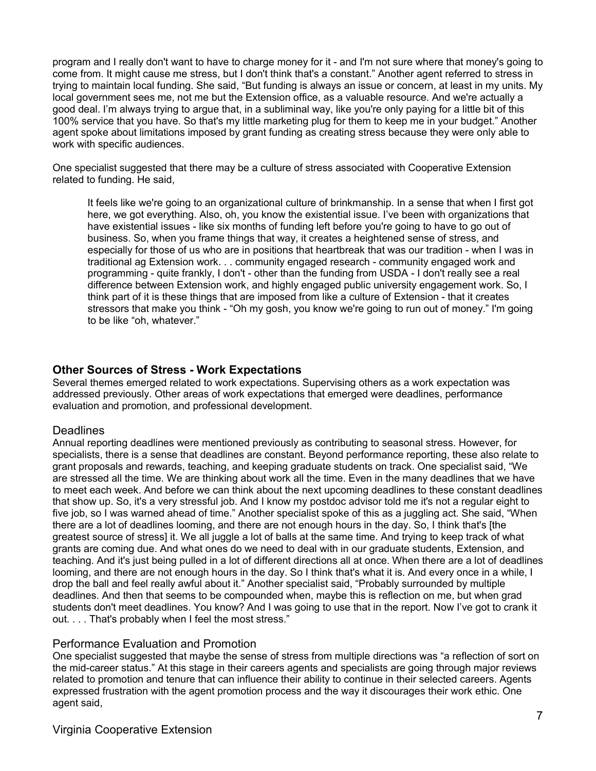program and I really don't want to have to charge money for it - and I'm not sure where that money's going to come from. It might cause me stress, but I don't think that's a constant." Another agent referred to stress in trying to maintain local funding. She said, "But funding is always an issue or concern, at least in my units. My local government sees me, not me but the Extension office, as a valuable resource. And we're actually a good deal. I'm always trying to argue that, in a subliminal way, like you're only paying for a little bit of this 100% service that you have. So that's my little marketing plug for them to keep me in your budget." Another agent spoke about limitations imposed by grant funding as creating stress because they were only able to work with specific audiences.

One specialist suggested that there may be a culture of stress associated with Cooperative Extension related to funding. He said,

It feels like we're going to an organizational culture of brinkmanship. In a sense that when I first got here, we got everything. Also, oh, you know the existential issue. I've been with organizations that have existential issues - like six months of funding left before you're going to have to go out of business. So, when you frame things that way, it creates a heightened sense of stress, and especially for those of us who are in positions that heartbreak that was our tradition - when I was in traditional ag Extension work. . . community engaged research - community engaged work and programming - quite frankly, I don't - other than the funding from USDA - I don't really see a real difference between Extension work, and highly engaged public university engagement work. So, I think part of it is these things that are imposed from like a culture of Extension - that it creates stressors that make you think - "Oh my gosh, you know we're going to run out of money." I'm going to be like "oh, whatever."

### **Other Sources of Stress - Work Expectations**

Several themes emerged related to work expectations. Supervising others as a work expectation was addressed previously. Other areas of work expectations that emerged were deadlines, performance evaluation and promotion, and professional development.

### Deadlines

Annual reporting deadlines were mentioned previously as contributing to seasonal stress. However, for specialists, there is a sense that deadlines are constant. Beyond performance reporting, these also relate to grant proposals and rewards, teaching, and keeping graduate students on track. One specialist said, "We are stressed all the time. We are thinking about work all the time. Even in the many deadlines that we have to meet each week. And before we can think about the next upcoming deadlines to these constant deadlines that show up. So, it's a very stressful job. And I know my postdoc advisor told me it's not a regular eight to five job, so I was warned ahead of time." Another specialist spoke of this as a juggling act. She said, "When there are a lot of deadlines looming, and there are not enough hours in the day. So, I think that's [the greatest source of stress] it. We all juggle a lot of balls at the same time. And trying to keep track of what grants are coming due. And what ones do we need to deal with in our graduate students, Extension, and teaching. And it's just being pulled in a lot of different directions all at once. When there are a lot of deadlines looming, and there are not enough hours in the day. So I think that's what it is. And every once in a while, I drop the ball and feel really awful about it." Another specialist said, "Probably surrounded by multiple deadlines. And then that seems to be compounded when, maybe this is reflection on me, but when grad students don't meet deadlines. You know? And I was going to use that in the report. Now I've got to crank it out. . . . That's probably when I feel the most stress."

#### Performance Evaluation and Promotion

One specialist suggested that maybe the sense of stress from multiple directions was "a reflection of sort on the mid-career status." At this stage in their careers agents and specialists are going through major reviews related to promotion and tenure that can influence their ability to continue in their selected careers. Agents expressed frustration with the agent promotion process and the way it discourages their work ethic. One agent said,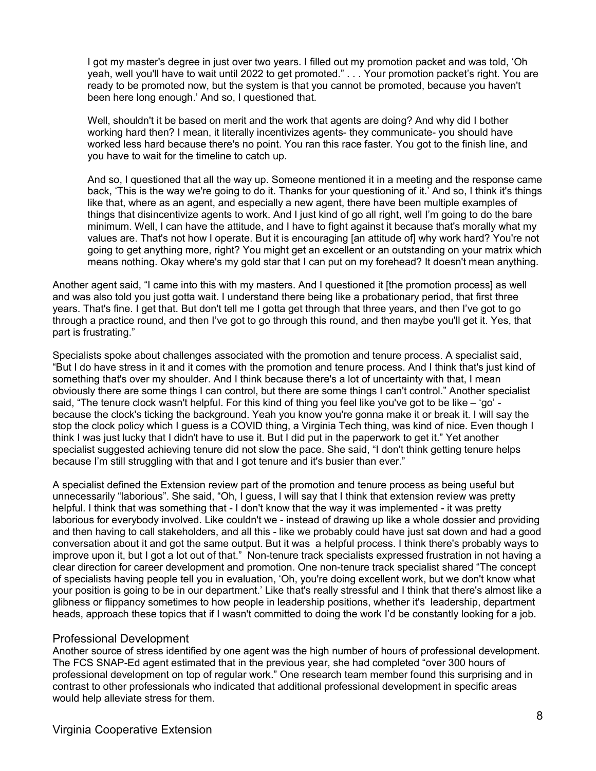I got my master's degree in just over two years. I filled out my promotion packet and was told, 'Oh yeah, well you'll have to wait until 2022 to get promoted." . . . Your promotion packet's right. You are ready to be promoted now, but the system is that you cannot be promoted, because you haven't been here long enough.' And so, I questioned that.

Well, shouldn't it be based on merit and the work that agents are doing? And why did I bother working hard then? I mean, it literally incentivizes agents- they communicate- you should have worked less hard because there's no point. You ran this race faster. You got to the finish line, and you have to wait for the timeline to catch up.

And so, I questioned that all the way up. Someone mentioned it in a meeting and the response came back, 'This is the way we're going to do it. Thanks for your questioning of it.' And so, I think it's things like that, where as an agent, and especially a new agent, there have been multiple examples of things that disincentivize agents to work. And I just kind of go all right, well I'm going to do the bare minimum. Well, I can have the attitude, and I have to fight against it because that's morally what my values are. That's not how I operate. But it is encouraging [an attitude of] why work hard? You're not going to get anything more, right? You might get an excellent or an outstanding on your matrix which means nothing. Okay where's my gold star that I can put on my forehead? It doesn't mean anything.

Another agent said, "I came into this with my masters. And I questioned it [the promotion process] as well and was also told you just gotta wait. I understand there being like a probationary period, that first three years. That's fine. I get that. But don't tell me I gotta get through that three years, and then I've got to go through a practice round, and then I've got to go through this round, and then maybe you'll get it. Yes, that part is frustrating."

Specialists spoke about challenges associated with the promotion and tenure process. A specialist said, "But I do have stress in it and it comes with the promotion and tenure process. And I think that's just kind of something that's over my shoulder. And I think because there's a lot of uncertainty with that, I mean obviously there are some things I can control, but there are some things I can't control." Another specialist said, "The tenure clock wasn't helpful. For this kind of thing you feel like you've got to be like – 'go' because the clock's ticking the background. Yeah you know you're gonna make it or break it. I will say the stop the clock policy which I guess is a COVID thing, a Virginia Tech thing, was kind of nice. Even though I think I was just lucky that I didn't have to use it. But I did put in the paperwork to get it." Yet another specialist suggested achieving tenure did not slow the pace. She said, "I don't think getting tenure helps because I'm still struggling with that and I got tenure and it's busier than ever."

A specialist defined the Extension review part of the promotion and tenure process as being useful but unnecessarily "laborious". She said, "Oh, I guess, I will say that I think that extension review was pretty helpful. I think that was something that - I don't know that the way it was implemented - it was pretty laborious for everybody involved. Like couldn't we - instead of drawing up like a whole dossier and providing and then having to call stakeholders, and all this - like we probably could have just sat down and had a good conversation about it and got the same output. But it was a helpful process. I think there's probably ways to improve upon it, but I got a lot out of that." Non-tenure track specialists expressed frustration in not having a clear direction for career development and promotion. One non-tenure track specialist shared "The concept of specialists having people tell you in evaluation, 'Oh, you're doing excellent work, but we don't know what your position is going to be in our department.' Like that's really stressful and I think that there's almost like a glibness or flippancy sometimes to how people in leadership positions, whether it's leadership, department heads, approach these topics that if I wasn't committed to doing the work I'd be constantly looking for a job.

### Professional Development

Another source of stress identified by one agent was the high number of hours of professional development. The FCS SNAP-Ed agent estimated that in the previous year, she had completed "over 300 hours of professional development on top of regular work." One research team member found this surprising and in contrast to other professionals who indicated that additional professional development in specific areas would help alleviate stress for them.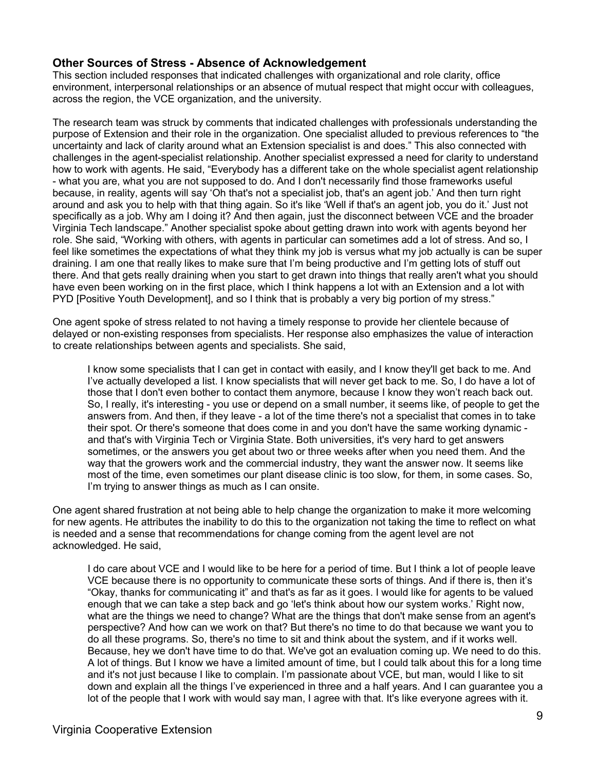### **Other Sources of Stress - Absence of Acknowledgement**

This section included responses that indicated challenges with organizational and role clarity, office environment, interpersonal relationships or an absence of mutual respect that might occur with colleagues, across the region, the VCE organization, and the university.

The research team was struck by comments that indicated challenges with professionals understanding the purpose of Extension and their role in the organization. One specialist alluded to previous references to "the uncertainty and lack of clarity around what an Extension specialist is and does." This also connected with challenges in the agent-specialist relationship. Another specialist expressed a need for clarity to understand how to work with agents. He said, "Everybody has a different take on the whole specialist agent relationship - what you are, what you are not supposed to do. And I don't necessarily find those frameworks useful because, in reality, agents will say 'Oh that's not a specialist job, that's an agent job.' And then turn right around and ask you to help with that thing again. So it's like 'Well if that's an agent job, you do it.' Just not specifically as a job. Why am I doing it? And then again, just the disconnect between VCE and the broader Virginia Tech landscape." Another specialist spoke about getting drawn into work with agents beyond her role. She said, "Working with others, with agents in particular can sometimes add a lot of stress. And so, I feel like sometimes the expectations of what they think my job is versus what my job actually is can be super draining. I am one that really likes to make sure that I'm being productive and I'm getting lots of stuff out there. And that gets really draining when you start to get drawn into things that really aren't what you should have even been working on in the first place, which I think happens a lot with an Extension and a lot with PYD [Positive Youth Development], and so I think that is probably a very big portion of my stress."

One agent spoke of stress related to not having a timely response to provide her clientele because of delayed or non-existing responses from specialists. Her response also emphasizes the value of interaction to create relationships between agents and specialists. She said,

I know some specialists that I can get in contact with easily, and I know they'll get back to me. And I've actually developed a list. I know specialists that will never get back to me. So, I do have a lot of those that I don't even bother to contact them anymore, because I know they won't reach back out. So, I really, it's interesting - you use or depend on a small number, it seems like, of people to get the answers from. And then, if they leave - a lot of the time there's not a specialist that comes in to take their spot. Or there's someone that does come in and you don't have the same working dynamic and that's with Virginia Tech or Virginia State. Both universities, it's very hard to get answers sometimes, or the answers you get about two or three weeks after when you need them. And the way that the growers work and the commercial industry, they want the answer now. It seems like most of the time, even sometimes our plant disease clinic is too slow, for them, in some cases. So, I'm trying to answer things as much as I can onsite.

One agent shared frustration at not being able to help change the organization to make it more welcoming for new agents. He attributes the inability to do this to the organization not taking the time to reflect on what is needed and a sense that recommendations for change coming from the agent level are not acknowledged. He said,

I do care about VCE and I would like to be here for a period of time. But I think a lot of people leave VCE because there is no opportunity to communicate these sorts of things. And if there is, then it's "Okay, thanks for communicating it" and that's as far as it goes. I would like for agents to be valued enough that we can take a step back and go 'let's think about how our system works.' Right now, what are the things we need to change? What are the things that don't make sense from an agent's perspective? And how can we work on that? But there's no time to do that because we want you to do all these programs. So, there's no time to sit and think about the system, and if it works well. Because, hey we don't have time to do that. We've got an evaluation coming up. We need to do this. A lot of things. But I know we have a limited amount of time, but I could talk about this for a long time and it's not just because I like to complain. I'm passionate about VCE, but man, would I like to sit down and explain all the things I've experienced in three and a half years. And I can guarantee you a lot of the people that I work with would say man, I agree with that. It's like everyone agrees with it.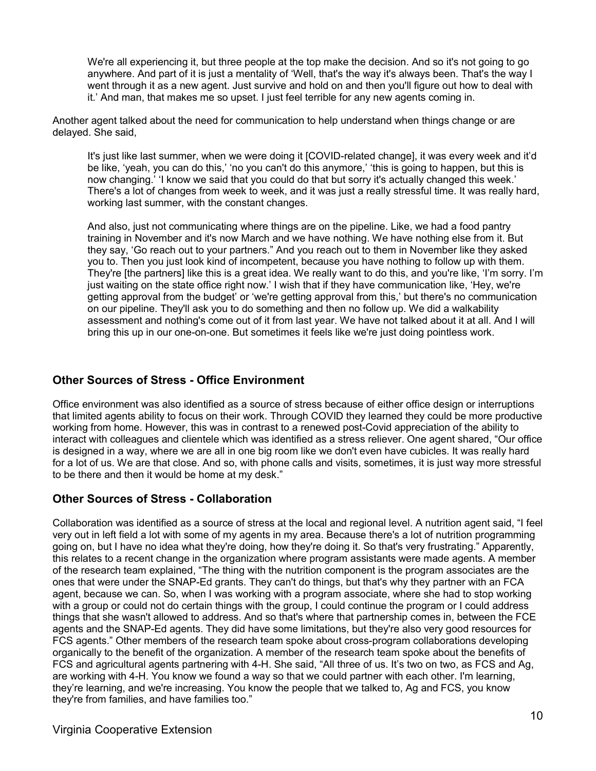We're all experiencing it, but three people at the top make the decision. And so it's not going to go anywhere. And part of it is just a mentality of 'Well, that's the way it's always been. That's the way I went through it as a new agent. Just survive and hold on and then you'll figure out how to deal with it.' And man, that makes me so upset. I just feel terrible for any new agents coming in.

Another agent talked about the need for communication to help understand when things change or are delayed. She said,

It's just like last summer, when we were doing it [COVID-related change], it was every week and it'd be like, 'yeah, you can do this,' 'no you can't do this anymore,' 'this is going to happen, but this is now changing.' 'I know we said that you could do that but sorry it's actually changed this week.' There's a lot of changes from week to week, and it was just a really stressful time. It was really hard, working last summer, with the constant changes.

And also, just not communicating where things are on the pipeline. Like, we had a food pantry training in November and it's now March and we have nothing. We have nothing else from it. But they say, 'Go reach out to your partners." And you reach out to them in November like they asked you to. Then you just look kind of incompetent, because you have nothing to follow up with them. They're [the partners] like this is a great idea. We really want to do this, and you're like, 'I'm sorry. I'm just waiting on the state office right now.' I wish that if they have communication like, 'Hey, we're getting approval from the budget' or 'we're getting approval from this,' but there's no communication on our pipeline. They'll ask you to do something and then no follow up. We did a walkability assessment and nothing's come out of it from last year. We have not talked about it at all. And I will bring this up in our one-on-one. But sometimes it feels like we're just doing pointless work.

### **Other Sources of Stress - Office Environment**

Office environment was also identified as a source of stress because of either office design or interruptions that limited agents ability to focus on their work. Through COVID they learned they could be more productive working from home. However, this was in contrast to a renewed post-Covid appreciation of the ability to interact with colleagues and clientele which was identified as a stress reliever. One agent shared, "Our office is designed in a way, where we are all in one big room like we don't even have cubicles. It was really hard for a lot of us. We are that close. And so, with phone calls and visits, sometimes, it is just way more stressful to be there and then it would be home at my desk."

### **Other Sources of Stress - Collaboration**

Collaboration was identified as a source of stress at the local and regional level. A nutrition agent said, "I feel very out in left field a lot with some of my agents in my area. Because there's a lot of nutrition programming going on, but I have no idea what they're doing, how they're doing it. So that's very frustrating." Apparently, this relates to a recent change in the organization where program assistants were made agents. A member of the research team explained, "The thing with the nutrition component is the program associates are the ones that were under the SNAP-Ed grants. They can't do things, but that's why they partner with an FCA agent, because we can. So, when I was working with a program associate, where she had to stop working with a group or could not do certain things with the group, I could continue the program or I could address things that she wasn't allowed to address. And so that's where that partnership comes in, between the FCE agents and the SNAP-Ed agents. They did have some limitations, but they're also very good resources for FCS agents." Other members of the research team spoke about cross-program collaborations developing organically to the benefit of the organization. A member of the research team spoke about the benefits of FCS and agricultural agents partnering with 4-H. She said, "All three of us. It's two on two, as FCS and Ag, are working with 4-H. You know we found a way so that we could partner with each other. I'm learning, they're learning, and we're increasing. You know the people that we talked to, Ag and FCS, you know they're from families, and have families too."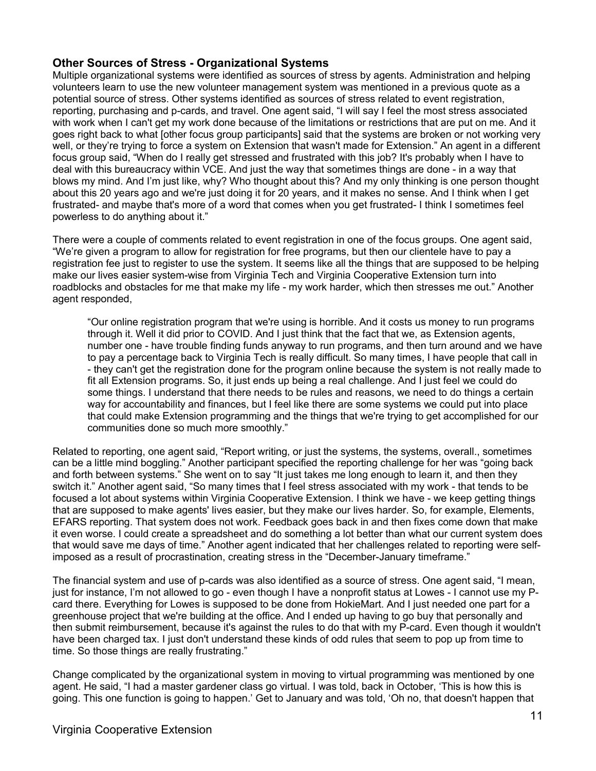### **Other Sources of Stress - Organizational Systems**

Multiple organizational systems were identified as sources of stress by agents. Administration and helping volunteers learn to use the new volunteer management system was mentioned in a previous quote as a potential source of stress. Other systems identified as sources of stress related to event registration, reporting, purchasing and p-cards, and travel. One agent said, "I will say I feel the most stress associated with work when I can't get my work done because of the limitations or restrictions that are put on me. And it goes right back to what [other focus group participants] said that the systems are broken or not working very well, or they're trying to force a system on Extension that wasn't made for Extension." An agent in a different focus group said, "When do I really get stressed and frustrated with this job? It's probably when I have to deal with this bureaucracy within VCE. And just the way that sometimes things are done - in a way that blows my mind. And I'm just like, why? Who thought about this? And my only thinking is one person thought about this 20 years ago and we're just doing it for 20 years, and it makes no sense. And I think when I get frustrated- and maybe that's more of a word that comes when you get frustrated- I think I sometimes feel powerless to do anything about it."

There were a couple of comments related to event registration in one of the focus groups. One agent said, "We're given a program to allow for registration for free programs, but then our clientele have to pay a registration fee just to register to use the system. It seems like all the things that are supposed to be helping make our lives easier system-wise from Virginia Tech and Virginia Cooperative Extension turn into roadblocks and obstacles for me that make my life - my work harder, which then stresses me out." Another agent responded,

"Our online registration program that we're using is horrible. And it costs us money to run programs through it. Well it did prior to COVID. And I just think that the fact that we, as Extension agents, number one - have trouble finding funds anyway to run programs, and then turn around and we have to pay a percentage back to Virginia Tech is really difficult. So many times, I have people that call in - they can't get the registration done for the program online because the system is not really made to fit all Extension programs. So, it just ends up being a real challenge. And I just feel we could do some things. I understand that there needs to be rules and reasons, we need to do things a certain way for accountability and finances, but I feel like there are some systems we could put into place that could make Extension programming and the things that we're trying to get accomplished for our communities done so much more smoothly."

Related to reporting, one agent said, "Report writing, or just the systems, the systems, overall., sometimes can be a little mind boggling." Another participant specified the reporting challenge for her was "going back and forth between systems." She went on to say "It just takes me long enough to learn it, and then they switch it." Another agent said, "So many times that I feel stress associated with my work - that tends to be focused a lot about systems within Virginia Cooperative Extension. I think we have - we keep getting things that are supposed to make agents' lives easier, but they make our lives harder. So, for example, Elements, EFARS reporting. That system does not work. Feedback goes back in and then fixes come down that make it even worse. I could create a spreadsheet and do something a lot better than what our current system does that would save me days of time." Another agent indicated that her challenges related to reporting were selfimposed as a result of procrastination, creating stress in the "December-January timeframe."

The financial system and use of p-cards was also identified as a source of stress. One agent said, "I mean, just for instance, I'm not allowed to go - even though I have a nonprofit status at Lowes - I cannot use my Pcard there. Everything for Lowes is supposed to be done from HokieMart. And I just needed one part for a greenhouse project that we're building at the office. And I ended up having to go buy that personally and then submit reimbursement, because it's against the rules to do that with my P-card. Even though it wouldn't have been charged tax. I just don't understand these kinds of odd rules that seem to pop up from time to time. So those things are really frustrating."

Change complicated by the organizational system in moving to virtual programming was mentioned by one agent. He said, "I had a master gardener class go virtual. I was told, back in October, 'This is how this is going. This one function is going to happen.' Get to January and was told, 'Oh no, that doesn't happen that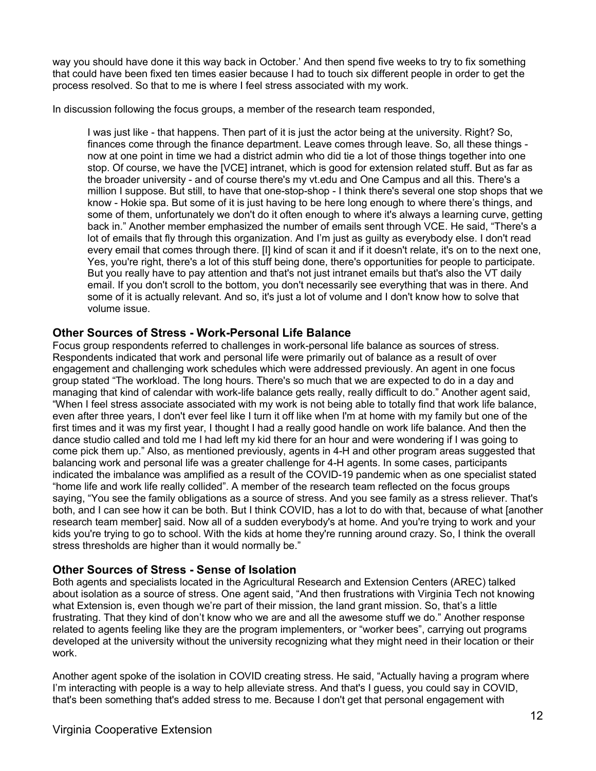way you should have done it this way back in October.' And then spend five weeks to try to fix something that could have been fixed ten times easier because I had to touch six different people in order to get the process resolved. So that to me is where I feel stress associated with my work.

In discussion following the focus groups, a member of the research team responded,

I was just like - that happens. Then part of it is just the actor being at the university. Right? So, finances come through the finance department. Leave comes through leave. So, all these things now at one point in time we had a district admin who did tie a lot of those things together into one stop. Of course, we have the [VCE] intranet, which is good for extension related stuff. But as far as the broader university - and of course there's my vt.edu and One Campus and all this. There's a million I suppose. But still, to have that one-stop-shop - I think there's several one stop shops that we know - Hokie spa. But some of it is just having to be here long enough to where there's things, and some of them, unfortunately we don't do it often enough to where it's always a learning curve, getting back in." Another member emphasized the number of emails sent through VCE. He said, "There's a lot of emails that fly through this organization. And I'm just as guilty as everybody else. I don't read every email that comes through there. [I] kind of scan it and if it doesn't relate, it's on to the next one, Yes, you're right, there's a lot of this stuff being done, there's opportunities for people to participate. But you really have to pay attention and that's not just intranet emails but that's also the VT daily email. If you don't scroll to the bottom, you don't necessarily see everything that was in there. And some of it is actually relevant. And so, it's just a lot of volume and I don't know how to solve that volume issue.

### **Other Sources of Stress - Work-Personal Life Balance**

Focus group respondents referred to challenges in work-personal life balance as sources of stress. Respondents indicated that work and personal life were primarily out of balance as a result of over engagement and challenging work schedules which were addressed previously. An agent in one focus group stated "The workload. The long hours. There's so much that we are expected to do in a day and managing that kind of calendar with work-life balance gets really, really difficult to do." Another agent said, "When I feel stress associate associated with my work is not being able to totally find that work life balance, even after three years, I don't ever feel like I turn it off like when I'm at home with my family but one of the first times and it was my first year, I thought I had a really good handle on work life balance. And then the dance studio called and told me I had left my kid there for an hour and were wondering if I was going to come pick them up." Also, as mentioned previously, agents in 4-H and other program areas suggested that balancing work and personal life was a greater challenge for 4-H agents. In some cases, participants indicated the imbalance was amplified as a result of the COVID-19 pandemic when as one specialist stated "home life and work life really collided". A member of the research team reflected on the focus groups saying, "You see the family obligations as a source of stress. And you see family as a stress reliever. That's both, and I can see how it can be both. But I think COVID, has a lot to do with that, because of what [another research team member] said. Now all of a sudden everybody's at home. And you're trying to work and your kids you're trying to go to school. With the kids at home they're running around crazy. So, I think the overall stress thresholds are higher than it would normally be."

### **Other Sources of Stress - Sense of Isolation**

Both agents and specialists located in the Agricultural Research and Extension Centers (AREC) talked about isolation as a source of stress. One agent said, "And then frustrations with Virginia Tech not knowing what Extension is, even though we're part of their mission, the land grant mission. So, that's a little frustrating. That they kind of don't know who we are and all the awesome stuff we do." Another response related to agents feeling like they are the program implementers, or "worker bees", carrying out programs developed at the university without the university recognizing what they might need in their location or their work.

Another agent spoke of the isolation in COVID creating stress. He said, "Actually having a program where I'm interacting with people is a way to help alleviate stress. And that's I guess, you could say in COVID, that's been something that's added stress to me. Because I don't get that personal engagement with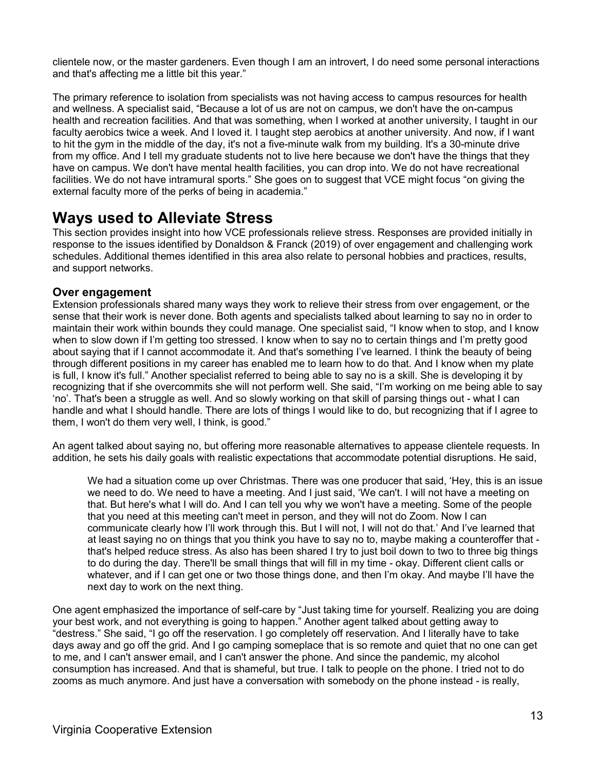clientele now, or the master gardeners. Even though I am an introvert, I do need some personal interactions and that's affecting me a little bit this year."

The primary reference to isolation from specialists was not having access to campus resources for health and wellness. A specialist said, "Because a lot of us are not on campus, we don't have the on-campus health and recreation facilities. And that was something, when I worked at another university, I taught in our faculty aerobics twice a week. And I loved it. I taught step aerobics at another university. And now, if I want to hit the gym in the middle of the day, it's not a five-minute walk from my building. It's a 30-minute drive from my office. And I tell my graduate students not to live here because we don't have the things that they have on campus. We don't have mental health facilities, you can drop into. We do not have recreational facilities. We do not have intramural sports." She goes on to suggest that VCE might focus "on giving the external faculty more of the perks of being in academia."

### **Ways used to Alleviate Stress**

This section provides insight into how VCE professionals relieve stress. Responses are provided initially in response to the issues identified by Donaldson & Franck (2019) of over engagement and challenging work schedules. Additional themes identified in this area also relate to personal hobbies and practices, results, and support networks.

### **Over engagement**

Extension professionals shared many ways they work to relieve their stress from over engagement, or the sense that their work is never done. Both agents and specialists talked about learning to say no in order to maintain their work within bounds they could manage. One specialist said, "I know when to stop, and I know when to slow down if I'm getting too stressed. I know when to say no to certain things and I'm pretty good about saying that if I cannot accommodate it. And that's something I've learned. I think the beauty of being through different positions in my career has enabled me to learn how to do that. And I know when my plate is full, I know it's full." Another specialist referred to being able to say no is a skill. She is developing it by recognizing that if she overcommits she will not perform well. She said, "I'm working on me being able to say 'no'. That's been a struggle as well. And so slowly working on that skill of parsing things out - what I can handle and what I should handle. There are lots of things I would like to do, but recognizing that if I agree to them, I won't do them very well, I think, is good."

An agent talked about saying no, but offering more reasonable alternatives to appease clientele requests. In addition, he sets his daily goals with realistic expectations that accommodate potential disruptions. He said,

We had a situation come up over Christmas. There was one producer that said, 'Hey, this is an issue we need to do. We need to have a meeting. And I just said, 'We can't. I will not have a meeting on that. But here's what I will do. And I can tell you why we won't have a meeting. Some of the people that you need at this meeting can't meet in person, and they will not do Zoom. Now I can communicate clearly how I'll work through this. But I will not, I will not do that.' And I've learned that at least saying no on things that you think you have to say no to, maybe making a counteroffer that that's helped reduce stress. As also has been shared I try to just boil down to two to three big things to do during the day. There'll be small things that will fill in my time - okay. Different client calls or whatever, and if I can get one or two those things done, and then I'm okay. And maybe I'll have the next day to work on the next thing.

One agent emphasized the importance of self-care by "Just taking time for yourself. Realizing you are doing your best work, and not everything is going to happen." Another agent talked about getting away to "destress." She said, "I go off the reservation. I go completely off reservation. And I literally have to take days away and go off the grid. And I go camping someplace that is so remote and quiet that no one can get to me, and I can't answer email, and I can't answer the phone. And since the pandemic, my alcohol consumption has increased. And that is shameful, but true. I talk to people on the phone. I tried not to do zooms as much anymore. And just have a conversation with somebody on the phone instead - is really,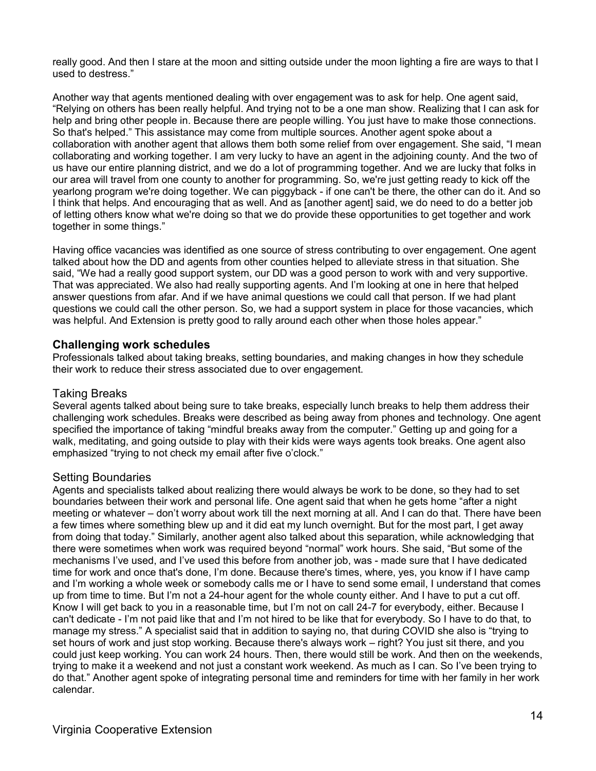really good. And then I stare at the moon and sitting outside under the moon lighting a fire are ways to that I used to destress."

Another way that agents mentioned dealing with over engagement was to ask for help. One agent said, "Relying on others has been really helpful. And trying not to be a one man show. Realizing that I can ask for help and bring other people in. Because there are people willing. You just have to make those connections. So that's helped." This assistance may come from multiple sources. Another agent spoke about a collaboration with another agent that allows them both some relief from over engagement. She said, "I mean collaborating and working together. I am very lucky to have an agent in the adjoining county. And the two of us have our entire planning district, and we do a lot of programming together. And we are lucky that folks in our area will travel from one county to another for programming. So, we're just getting ready to kick off the yearlong program we're doing together. We can piggyback - if one can't be there, the other can do it. And so I think that helps. And encouraging that as well. And as [another agent] said, we do need to do a better job of letting others know what we're doing so that we do provide these opportunities to get together and work together in some things."

Having office vacancies was identified as one source of stress contributing to over engagement. One agent talked about how the DD and agents from other counties helped to alleviate stress in that situation. She said, "We had a really good support system, our DD was a good person to work with and very supportive. That was appreciated. We also had really supporting agents. And I'm looking at one in here that helped answer questions from afar. And if we have animal questions we could call that person. If we had plant questions we could call the other person. So, we had a support system in place for those vacancies, which was helpful. And Extension is pretty good to rally around each other when those holes appear."

### **Challenging work schedules**

Professionals talked about taking breaks, setting boundaries, and making changes in how they schedule their work to reduce their stress associated due to over engagement.

### Taking Breaks

Several agents talked about being sure to take breaks, especially lunch breaks to help them address their challenging work schedules. Breaks were described as being away from phones and technology. One agent specified the importance of taking "mindful breaks away from the computer." Getting up and going for a walk, meditating, and going outside to play with their kids were ways agents took breaks. One agent also emphasized "trying to not check my email after five o'clock."

### Setting Boundaries

Agents and specialists talked about realizing there would always be work to be done, so they had to set boundaries between their work and personal life. One agent said that when he gets home "after a night meeting or whatever – don't worry about work till the next morning at all. And I can do that. There have been a few times where something blew up and it did eat my lunch overnight. But for the most part, I get away from doing that today." Similarly, another agent also talked about this separation, while acknowledging that there were sometimes when work was required beyond "normal" work hours. She said, "But some of the mechanisms I've used, and I've used this before from another job, was - made sure that I have dedicated time for work and once that's done, I'm done. Because there's times, where, yes, you know if I have camp and I'm working a whole week or somebody calls me or I have to send some email, I understand that comes up from time to time. But I'm not a 24-hour agent for the whole county either. And I have to put a cut off. Know I will get back to you in a reasonable time, but I'm not on call 24-7 for everybody, either. Because I can't dedicate - I'm not paid like that and I'm not hired to be like that for everybody. So I have to do that, to manage my stress." A specialist said that in addition to saying no, that during COVID she also is "trying to set hours of work and just stop working. Because there's always work – right? You just sit there, and you could just keep working. You can work 24 hours. Then, there would still be work. And then on the weekends, trying to make it a weekend and not just a constant work weekend. As much as I can. So I've been trying to do that." Another agent spoke of integrating personal time and reminders for time with her family in her work calendar.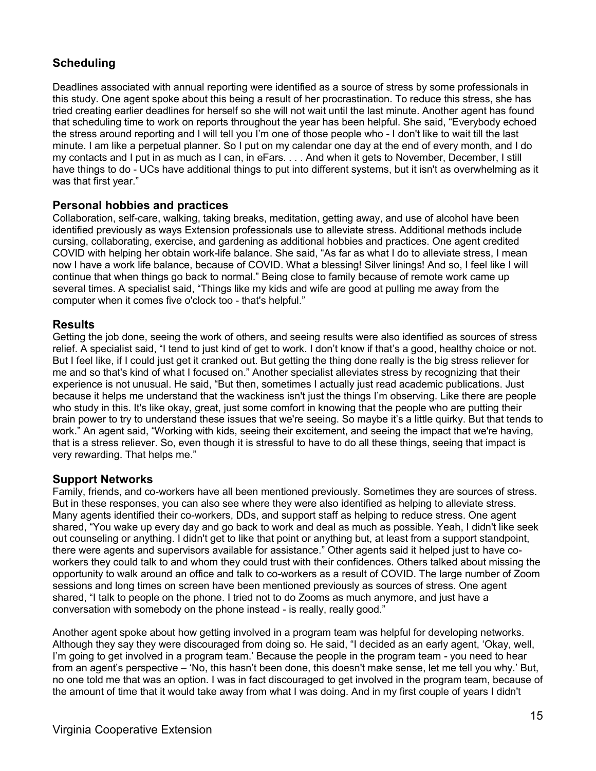### **Scheduling**

Deadlines associated with annual reporting were identified as a source of stress by some professionals in this study. One agent spoke about this being a result of her procrastination. To reduce this stress, she has tried creating earlier deadlines for herself so she will not wait until the last minute. Another agent has found that scheduling time to work on reports throughout the year has been helpful. She said, "Everybody echoed the stress around reporting and I will tell you I'm one of those people who - I don't like to wait till the last minute. I am like a perpetual planner. So I put on my calendar one day at the end of every month, and I do my contacts and I put in as much as I can, in eFars. . . . And when it gets to November, December, I still have things to do - UCs have additional things to put into different systems, but it isn't as overwhelming as it was that first year."

### **Personal hobbies and practices**

Collaboration, self-care, walking, taking breaks, meditation, getting away, and use of alcohol have been identified previously as ways Extension professionals use to alleviate stress. Additional methods include cursing, collaborating, exercise, and gardening as additional hobbies and practices. One agent credited COVID with helping her obtain work-life balance. She said, "As far as what I do to alleviate stress, I mean now I have a work life balance, because of COVID. What a blessing! Silver linings! And so, I feel like I will continue that when things go back to normal." Being close to family because of remote work came up several times. A specialist said, "Things like my kids and wife are good at pulling me away from the computer when it comes five o'clock too - that's helpful."

### **Results**

Getting the job done, seeing the work of others, and seeing results were also identified as sources of stress relief. A specialist said, "I tend to just kind of get to work. I don't know if that's a good, healthy choice or not. But I feel like, if I could just get it cranked out. But getting the thing done really is the big stress reliever for me and so that's kind of what I focused on." Another specialist alleviates stress by recognizing that their experience is not unusual. He said, "But then, sometimes I actually just read academic publications. Just because it helps me understand that the wackiness isn't just the things I'm observing. Like there are people who study in this. It's like okay, great, just some comfort in knowing that the people who are putting their brain power to try to understand these issues that we're seeing. So maybe it's a little quirky. But that tends to work." An agent said, "Working with kids, seeing their excitement, and seeing the impact that we're having, that is a stress reliever. So, even though it is stressful to have to do all these things, seeing that impact is very rewarding. That helps me."

### **Support Networks**

Family, friends, and co-workers have all been mentioned previously. Sometimes they are sources of stress. But in these responses, you can also see where they were also identified as helping to alleviate stress. Many agents identified their co-workers, DDs, and support staff as helping to reduce stress. One agent shared, "You wake up every day and go back to work and deal as much as possible. Yeah, I didn't like seek out counseling or anything. I didn't get to like that point or anything but, at least from a support standpoint, there were agents and supervisors available for assistance." Other agents said it helped just to have coworkers they could talk to and whom they could trust with their confidences. Others talked about missing the opportunity to walk around an office and talk to co-workers as a result of COVID. The large number of Zoom sessions and long times on screen have been mentioned previously as sources of stress. One agent shared, "I talk to people on the phone. I tried not to do Zooms as much anymore, and just have a conversation with somebody on the phone instead - is really, really good."

Another agent spoke about how getting involved in a program team was helpful for developing networks. Although they say they were discouraged from doing so. He said, "I decided as an early agent, 'Okay, well, I'm going to get involved in a program team.' Because the people in the program team - you need to hear from an agent's perspective – 'No, this hasn't been done, this doesn't make sense, let me tell you why.' But, no one told me that was an option. I was in fact discouraged to get involved in the program team, because of the amount of time that it would take away from what I was doing. And in my first couple of years I didn't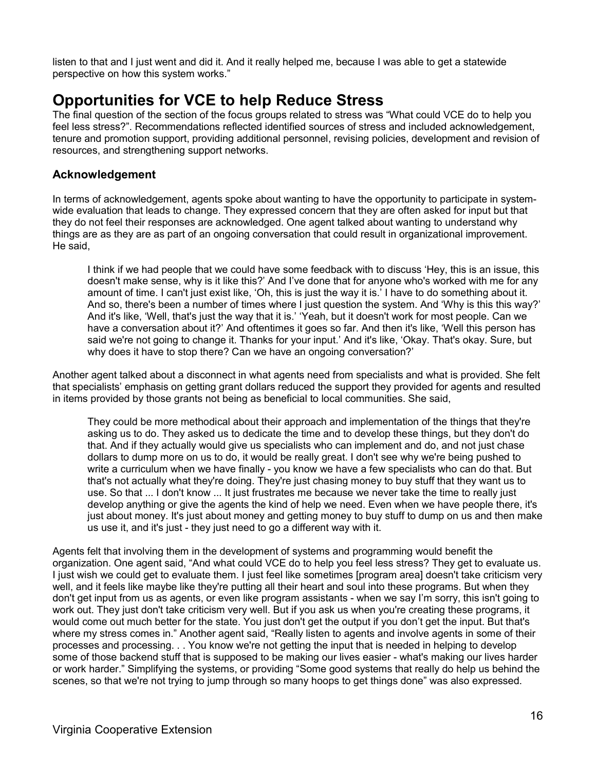listen to that and I just went and did it. And it really helped me, because I was able to get a statewide perspective on how this system works."

### **Opportunities for VCE to help Reduce Stress**

The final question of the section of the focus groups related to stress was "What could VCE do to help you feel less stress?". Recommendations reflected identified sources of stress and included acknowledgement, tenure and promotion support, providing additional personnel, revising policies, development and revision of resources, and strengthening support networks.

### **Acknowledgement**

In terms of acknowledgement, agents spoke about wanting to have the opportunity to participate in systemwide evaluation that leads to change. They expressed concern that they are often asked for input but that they do not feel their responses are acknowledged. One agent talked about wanting to understand why things are as they are as part of an ongoing conversation that could result in organizational improvement. He said,

I think if we had people that we could have some feedback with to discuss 'Hey, this is an issue, this doesn't make sense, why is it like this?' And I've done that for anyone who's worked with me for any amount of time. I can't just exist like, 'Oh, this is just the way it is.' I have to do something about it. And so, there's been a number of times where I just question the system. And 'Why is this this way?' And it's like, 'Well, that's just the way that it is.' 'Yeah, but it doesn't work for most people. Can we have a conversation about it?' And oftentimes it goes so far. And then it's like, 'Well this person has said we're not going to change it. Thanks for your input.' And it's like, 'Okay. That's okay. Sure, but why does it have to stop there? Can we have an ongoing conversation?'

Another agent talked about a disconnect in what agents need from specialists and what is provided. She felt that specialists' emphasis on getting grant dollars reduced the support they provided for agents and resulted in items provided by those grants not being as beneficial to local communities. She said,

They could be more methodical about their approach and implementation of the things that they're asking us to do. They asked us to dedicate the time and to develop these things, but they don't do that. And if they actually would give us specialists who can implement and do, and not just chase dollars to dump more on us to do, it would be really great. I don't see why we're being pushed to write a curriculum when we have finally - you know we have a few specialists who can do that. But that's not actually what they're doing. They're just chasing money to buy stuff that they want us to use. So that ... I don't know ... It just frustrates me because we never take the time to really just develop anything or give the agents the kind of help we need. Even when we have people there, it's just about money. It's just about money and getting money to buy stuff to dump on us and then make us use it, and it's just - they just need to go a different way with it.

Agents felt that involving them in the development of systems and programming would benefit the organization. One agent said, "And what could VCE do to help you feel less stress? They get to evaluate us. I just wish we could get to evaluate them. I just feel like sometimes [program area] doesn't take criticism very well, and it feels like maybe like they're putting all their heart and soul into these programs. But when they don't get input from us as agents, or even like program assistants - when we say I'm sorry, this isn't going to work out. They just don't take criticism very well. But if you ask us when you're creating these programs, it would come out much better for the state. You just don't get the output if you don't get the input. But that's where my stress comes in." Another agent said, "Really listen to agents and involve agents in some of their processes and processing. . . You know we're not getting the input that is needed in helping to develop some of those backend stuff that is supposed to be making our lives easier - what's making our lives harder or work harder." Simplifying the systems, or providing "Some good systems that really do help us behind the scenes, so that we're not trying to jump through so many hoops to get things done" was also expressed.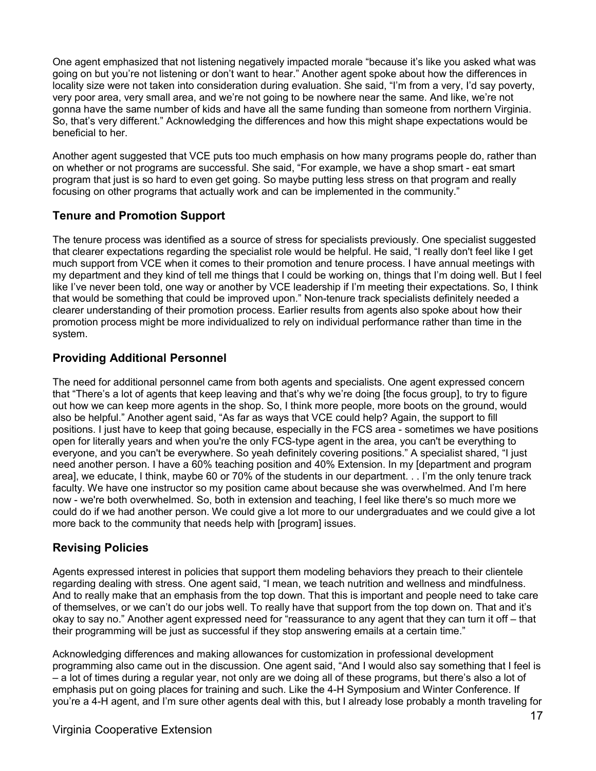One agent emphasized that not listening negatively impacted morale "because it's like you asked what was going on but you're not listening or don't want to hear." Another agent spoke about how the differences in locality size were not taken into consideration during evaluation. She said, "I'm from a very, I'd say poverty, very poor area, very small area, and we're not going to be nowhere near the same. And like, we're not gonna have the same number of kids and have all the same funding than someone from northern Virginia. So, that's very different." Acknowledging the differences and how this might shape expectations would be beneficial to her.

Another agent suggested that VCE puts too much emphasis on how many programs people do, rather than on whether or not programs are successful. She said, "For example, we have a shop smart - eat smart program that just is so hard to even get going. So maybe putting less stress on that program and really focusing on other programs that actually work and can be implemented in the community."

### **Tenure and Promotion Support**

The tenure process was identified as a source of stress for specialists previously. One specialist suggested that clearer expectations regarding the specialist role would be helpful. He said, "I really don't feel like I get much support from VCE when it comes to their promotion and tenure process. I have annual meetings with my department and they kind of tell me things that I could be working on, things that I'm doing well. But I feel like I've never been told, one way or another by VCE leadership if I'm meeting their expectations. So, I think that would be something that could be improved upon." Non-tenure track specialists definitely needed a clearer understanding of their promotion process. Earlier results from agents also spoke about how their promotion process might be more individualized to rely on individual performance rather than time in the system.

### **Providing Additional Personnel**

The need for additional personnel came from both agents and specialists. One agent expressed concern that "There's a lot of agents that keep leaving and that's why we're doing [the focus group], to try to figure out how we can keep more agents in the shop. So, I think more people, more boots on the ground, would also be helpful." Another agent said, "As far as ways that VCE could help? Again, the support to fill positions. I just have to keep that going because, especially in the FCS area - sometimes we have positions open for literally years and when you're the only FCS-type agent in the area, you can't be everything to everyone, and you can't be everywhere. So yeah definitely covering positions." A specialist shared, "I just need another person. I have a 60% teaching position and 40% Extension. In my [department and program area], we educate, I think, maybe 60 or 70% of the students in our department. . . I'm the only tenure track faculty. We have one instructor so my position came about because she was overwhelmed. And I'm here now - we're both overwhelmed. So, both in extension and teaching, I feel like there's so much more we could do if we had another person. We could give a lot more to our undergraduates and we could give a lot more back to the community that needs help with [program] issues.

### **Revising Policies**

Agents expressed interest in policies that support them modeling behaviors they preach to their clientele regarding dealing with stress. One agent said, "I mean, we teach nutrition and wellness and mindfulness. And to really make that an emphasis from the top down. That this is important and people need to take care of themselves, or we can't do our jobs well. To really have that support from the top down on. That and it's okay to say no." Another agent expressed need for "reassurance to any agent that they can turn it off – that their programming will be just as successful if they stop answering emails at a certain time."

Acknowledging differences and making allowances for customization in professional development programming also came out in the discussion. One agent said, "And I would also say something that I feel is – a lot of times during a regular year, not only are we doing all of these programs, but there's also a lot of emphasis put on going places for training and such. Like the 4-H Symposium and Winter Conference. If you're a 4-H agent, and I'm sure other agents deal with this, but I already lose probably a month traveling for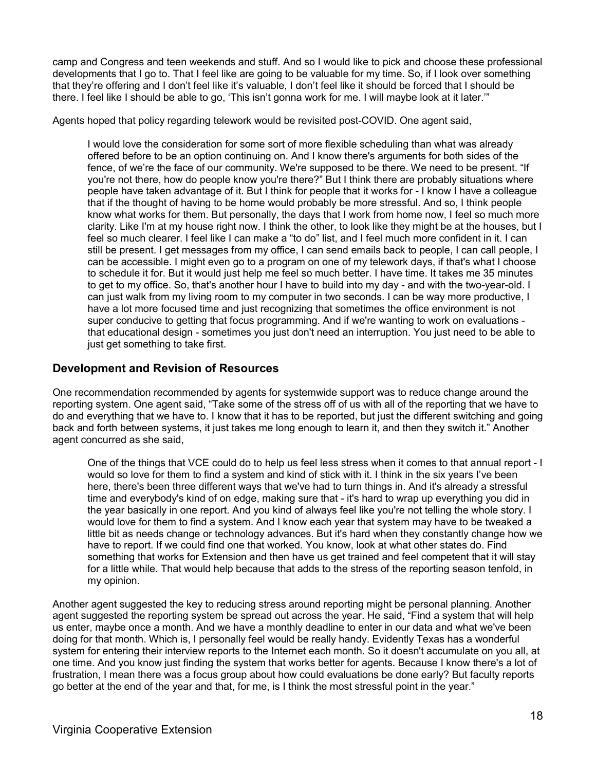camp and Congress and teen weekends and stuff. And so I would like to pick and choose these professional developments that I go to. That I feel like are going to be valuable for my time. So, if I look over something that they're offering and I don't feel like it's valuable, I don't feel like it should be forced that I should be there. I feel like I should be able to go, 'This isn't gonna work for me. I will maybe look at it later.'"

Agents hoped that policy regarding telework would be revisited post-COVID. One agent said,

I would love the consideration for some sort of more flexible scheduling than what was already offered before to be an option continuing on. And I know there's arguments for both sides of the fence, of we're the face of our community. We're supposed to be there. We need to be present. "If you're not there, how do people know you're there?" But I think there are probably situations where people have taken advantage of it. But I think for people that it works for - I know I have a colleague that if the thought of having to be home would probably be more stressful. And so, I think people know what works for them. But personally, the days that I work from home now, I feel so much more clarity. Like I'm at my house right now. I think the other, to look like they might be at the houses, but I feel so much clearer. I feel like I can make a "to do" list, and I feel much more confident in it. I can still be present. I get messages from my office, I can send emails back to people, I can call people, I can be accessible. I might even go to a program on one of my telework days, if that's what I choose to schedule it for. But it would just help me feel so much better. I have time. It takes me 35 minutes to get to my office. So, that's another hour I have to build into my day - and with the two-year-old. I can just walk from my living room to my computer in two seconds. I can be way more productive, I have a lot more focused time and just recognizing that sometimes the office environment is not super conducive to getting that focus programming. And if we're wanting to work on evaluations that educational design - sometimes you just don't need an interruption. You just need to be able to just get something to take first.

### **Development and Revision of Resources**

One recommendation recommended by agents for systemwide support was to reduce change around the reporting system. One agent said, "Take some of the stress off of us with all of the reporting that we have to do and everything that we have to. I know that it has to be reported, but just the different switching and going back and forth between systems, it just takes me long enough to learn it, and then they switch it." Another agent concurred as she said,

One of the things that VCE could do to help us feel less stress when it comes to that annual report - I would so love for them to find a system and kind of stick with it. I think in the six years I've been here, there's been three different ways that we've had to turn things in. And it's already a stressful time and everybody's kind of on edge, making sure that - it's hard to wrap up everything you did in the year basically in one report. And you kind of always feel like you're not telling the whole story. I would love for them to find a system. And I know each year that system may have to be tweaked a little bit as needs change or technology advances. But it's hard when they constantly change how we have to report. If we could find one that worked. You know, look at what other states do. Find something that works for Extension and then have us get trained and feel competent that it will stay for a little while. That would help because that adds to the stress of the reporting season tenfold, in my opinion.

Another agent suggested the key to reducing stress around reporting might be personal planning. Another agent suggested the reporting system be spread out across the year. He said, "Find a system that will help us enter, maybe once a month. And we have a monthly deadline to enter in our data and what we've been doing for that month. Which is, I personally feel would be really handy. Evidently Texas has a wonderful system for entering their interview reports to the Internet each month. So it doesn't accumulate on you all, at one time. And you know just finding the system that works better for agents. Because I know there's a lot of frustration, I mean there was a focus group about how could evaluations be done early? But faculty reports go better at the end of the year and that, for me, is I think the most stressful point in the year."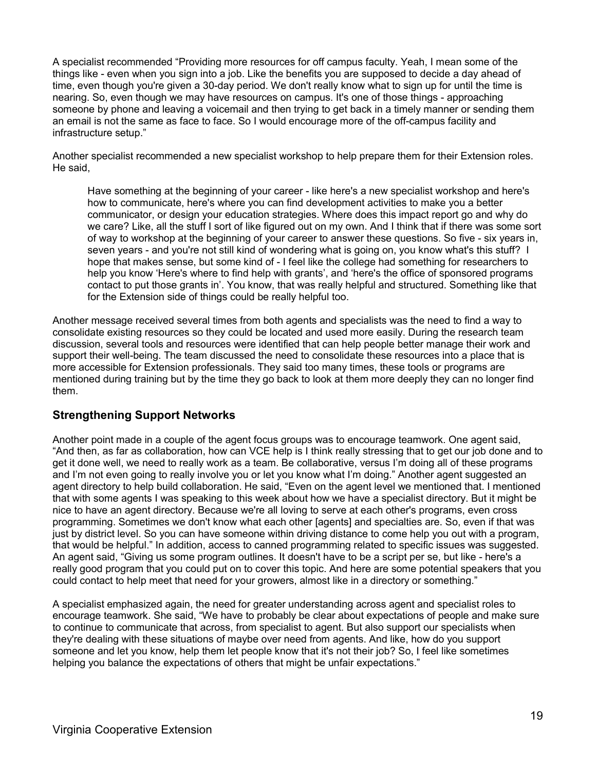A specialist recommended "Providing more resources for off campus faculty. Yeah, I mean some of the things like - even when you sign into a job. Like the benefits you are supposed to decide a day ahead of time, even though you're given a 30-day period. We don't really know what to sign up for until the time is nearing. So, even though we may have resources on campus. It's one of those things - approaching someone by phone and leaving a voicemail and then trying to get back in a timely manner or sending them an email is not the same as face to face. So I would encourage more of the off-campus facility and infrastructure setup."

Another specialist recommended a new specialist workshop to help prepare them for their Extension roles. He said,

Have something at the beginning of your career - like here's a new specialist workshop and here's how to communicate, here's where you can find development activities to make you a better communicator, or design your education strategies. Where does this impact report go and why do we care? Like, all the stuff I sort of like figured out on my own. And I think that if there was some sort of way to workshop at the beginning of your career to answer these questions. So five - six years in, seven years - and you're not still kind of wondering what is going on, you know what's this stuff? I hope that makes sense, but some kind of - I feel like the college had something for researchers to help you know 'Here's where to find help with grants', and 'here's the office of sponsored programs contact to put those grants in'. You know, that was really helpful and structured. Something like that for the Extension side of things could be really helpful too.

Another message received several times from both agents and specialists was the need to find a way to consolidate existing resources so they could be located and used more easily. During the research team discussion, several tools and resources were identified that can help people better manage their work and support their well-being. The team discussed the need to consolidate these resources into a place that is more accessible for Extension professionals. They said too many times, these tools or programs are mentioned during training but by the time they go back to look at them more deeply they can no longer find them.

### **Strengthening Support Networks**

Another point made in a couple of the agent focus groups was to encourage teamwork. One agent said, "And then, as far as collaboration, how can VCE help is I think really stressing that to get our job done and to get it done well, we need to really work as a team. Be collaborative, versus I'm doing all of these programs and I'm not even going to really involve you or let you know what I'm doing." Another agent suggested an agent directory to help build collaboration. He said, "Even on the agent level we mentioned that. I mentioned that with some agents I was speaking to this week about how we have a specialist directory. But it might be nice to have an agent directory. Because we're all loving to serve at each other's programs, even cross programming. Sometimes we don't know what each other [agents] and specialties are. So, even if that was just by district level. So you can have someone within driving distance to come help you out with a program, that would be helpful." In addition, access to canned programming related to specific issues was suggested. An agent said, "Giving us some program outlines. It doesn't have to be a script per se, but like - here's a really good program that you could put on to cover this topic. And here are some potential speakers that you could contact to help meet that need for your growers, almost like in a directory or something."

A specialist emphasized again, the need for greater understanding across agent and specialist roles to encourage teamwork. She said, "We have to probably be clear about expectations of people and make sure to continue to communicate that across, from specialist to agent. But also support our specialists when they're dealing with these situations of maybe over need from agents. And like, how do you support someone and let you know, help them let people know that it's not their job? So, I feel like sometimes helping you balance the expectations of others that might be unfair expectations."